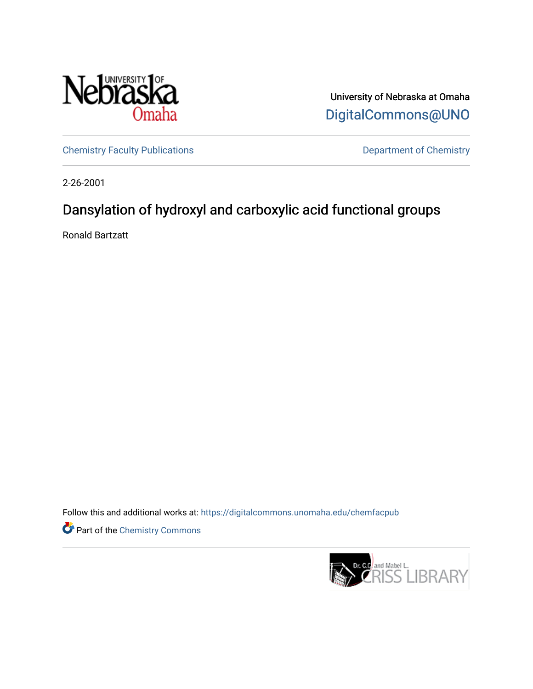

University of Nebraska at Omaha [DigitalCommons@UNO](https://digitalcommons.unomaha.edu/) 

[Chemistry Faculty Publications](https://digitalcommons.unomaha.edu/chemfacpub) **Department of Chemistry** 

2-26-2001

## Dansylation of hydroxyl and carboxylic acid functional groups

Ronald Bartzatt

Follow this and additional works at: [https://digitalcommons.unomaha.edu/chemfacpub](https://digitalcommons.unomaha.edu/chemfacpub?utm_source=digitalcommons.unomaha.edu%2Fchemfacpub%2F63&utm_medium=PDF&utm_campaign=PDFCoverPages) 

Part of the [Chemistry Commons](http://network.bepress.com/hgg/discipline/131?utm_source=digitalcommons.unomaha.edu%2Fchemfacpub%2F63&utm_medium=PDF&utm_campaign=PDFCoverPages) 

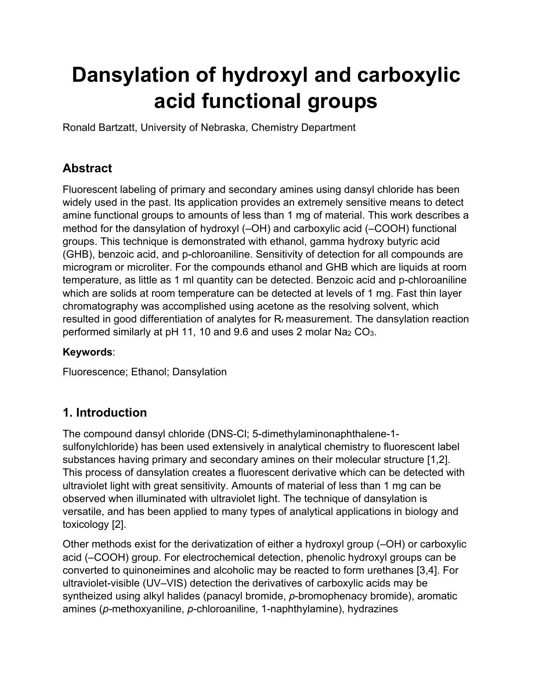# **Dansylation of hydroxyl and carboxylic acid functional groups**

Ronald Bartzatt, University of Nebraska, Chemistry Department

## **Abstract**

Fluorescent labeling of primary and secondary amines using dansyl chloride has been widely used in the past. Its application provides an extremely sensitive means to detect amine functional groups to amounts of less than 1 mg of material. This work describes a method for the dansylation of hydroxyl (–OH) and carboxylic acid (–COOH) functional groups. This technique is demonstrated with ethanol, gamma hydroxy butyric acid (GHB), benzoic acid, and p-chloroaniline. Sensitivity of detection for all compounds are microgram or microliter. For the compounds ethanol and GHB which are liquids at room temperature, as little as 1 ml quantity can be detected. Benzoic acid and p-chloroaniline which are solids at room temperature can be detected at levels of 1 mg. Fast thin layer chromatography was accomplished using acetone as the resolving solvent, which resulted in good differentiation of analytes for R<sub>r</sub> measurement. The dansylation reaction performed similarly at pH 11, 10 and 9.6 and uses 2 molar Na2 CO3.

#### **Keywords**:

Fluorescence; Ethanol; Dansylation

## **1. Introduction**

The compound dansyl chloride (DNS-Cl; 5-dimethylaminonaphthalene-1 sulfonylchloride) has been used extensively in analytical chemistry to fluorescent label substances having primary and secondary amines on their molecular structure [1,2]. This process of dansylation creates a fluorescent derivative which can be detected with ultraviolet light with great sensitivity. Amounts of material of less than 1 mg can be observed when illuminated with ultraviolet light. The technique of dansylation is versatile, and has been applied to many types of analytical applications in biology and toxicology [2].

Other methods exist for the derivatization of either a hydroxyl group (–OH) or carboxylic acid (–COOH) group. For electrochemical detection, phenolic hydroxyl groups can be converted to quinoneimines and alcoholic may be reacted to form urethanes [3,4]. For ultraviolet-visible (UV–VIS) detection the derivatives of carboxylic acids may be syntheized using alkyl halides (panacyl bromide, *p*-bromophenacy bromide), aromatic amines (*p-*methoxyaniline, *p*-chloroaniline, 1-naphthylamine), hydrazines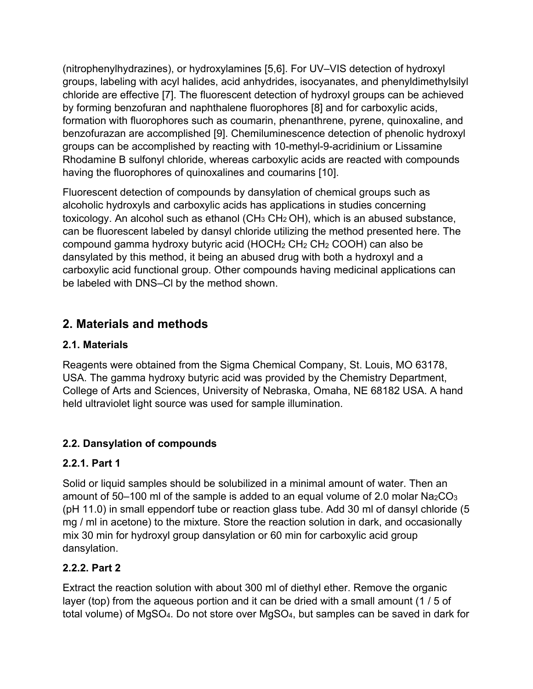(nitrophenylhydrazines), or hydroxylamines [5,6]. For UV–VIS detection of hydroxyl groups, labeling with acyl halides, acid anhydrides, isocyanates, and phenyldimethylsilyl chloride are effective [7]. The fluorescent detection of hydroxyl groups can be achieved by forming benzofuran and naphthalene fluorophores [8] and for carboxylic acids, formation with fluorophores such as coumarin, phenanthrene, pyrene, quinoxaline, and benzofurazan are accomplished [9]. Chemiluminescence detection of phenolic hydroxyl groups can be accomplished by reacting with 10-methyl-9-acridinium or Lissamine Rhodamine B sulfonyl chloride, whereas carboxylic acids are reacted with compounds having the fluorophores of quinoxalines and coumarins [10].

Fluorescent detection of compounds by dansylation of chemical groups such as alcoholic hydroxyls and carboxylic acids has applications in studies concerning toxicology. An alcohol such as ethanol ( $CH<sub>3</sub> CH<sub>2</sub>OH$ ), which is an abused substance, can be fluorescent labeled by dansyl chloride utilizing the method presented here. The compound gamma hydroxy butyric acid (HOCH2 CH2 CH2 COOH) can also be dansylated by this method, it being an abused drug with both a hydroxyl and a carboxylic acid functional group. Other compounds having medicinal applications can be labeled with DNS–Cl by the method shown.

## **2. Materials and methods**

#### **2.1. Materials**

Reagents were obtained from the Sigma Chemical Company, St. Louis, MO 63178, USA. The gamma hydroxy butyric acid was provided by the Chemistry Department, College of Arts and Sciences, University of Nebraska, Omaha, NE 68182 USA. A hand held ultraviolet light source was used for sample illumination.

#### **2.2. Dansylation of compounds**

#### **2.2.1. Part 1**

Solid or liquid samples should be solubilized in a minimal amount of water. Then an amount of 50–100 ml of the sample is added to an equal volume of 2.0 molar  $Na<sub>2</sub>CO<sub>3</sub>$ (pH 11.0) in small eppendorf tube or reaction glass tube. Add 30 ml of dansyl chloride (5 mg / ml in acetone) to the mixture. Store the reaction solution in dark, and occasionally mix 30 min for hydroxyl group dansylation or 60 min for carboxylic acid group dansylation.

#### **2.2.2. Part 2**

Extract the reaction solution with about 300 ml of diethyl ether. Remove the organic layer (top) from the aqueous portion and it can be dried with a small amount (1 / 5 of total volume) of MgSO4. Do not store over MgSO4, but samples can be saved in dark for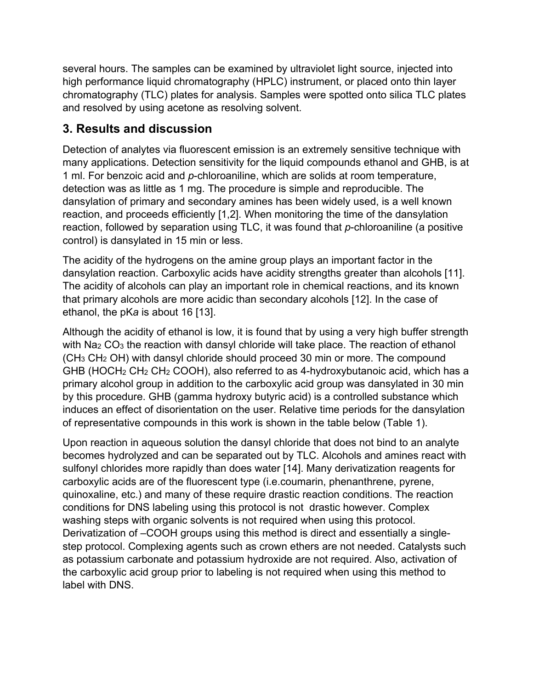several hours. The samples can be examined by ultraviolet light source, injected into high performance liquid chromatography (HPLC) instrument, or placed onto thin layer chromatography (TLC) plates for analysis. Samples were spotted onto silica TLC plates and resolved by using acetone as resolving solvent.

## **3. Results and discussion**

Detection of analytes via fluorescent emission is an extremely sensitive technique with many applications. Detection sensitivity for the liquid compounds ethanol and GHB, is at 1 ml. For benzoic acid and *p*-chloroaniline, which are solids at room temperature, detection was as little as 1 mg. The procedure is simple and reproducible. The dansylation of primary and secondary amines has been widely used, is a well known reaction, and proceeds efficiently [1,2]. When monitoring the time of the dansylation reaction, followed by separation using TLC, it was found that *p*-chloroaniline (a positive control) is dansylated in 15 min or less.

The acidity of the hydrogens on the amine group plays an important factor in the dansylation reaction. Carboxylic acids have acidity strengths greater than alcohols [11]. The acidity of alcohols can play an important role in chemical reactions, and its known that primary alcohols are more acidic than secondary alcohols [12]. In the case of ethanol, the pK*a* is about 16 [13].

Although the acidity of ethanol is low, it is found that by using a very high buffer strength with Na<sub>2</sub> CO<sub>3</sub> the reaction with dansyl chloride will take place. The reaction of ethanol (CH3 CH2 OH) with dansyl chloride should proceed 30 min or more. The compound GHB (HOCH2 CH2 CH2 COOH), also referred to as 4-hydroxybutanoic acid, which has a primary alcohol group in addition to the carboxylic acid group was dansylated in 30 min by this procedure. GHB (gamma hydroxy butyric acid) is a controlled substance which induces an effect of disorientation on the user. Relative time periods for the dansylation of representative compounds in this work is shown in the table below (Table 1).

Upon reaction in aqueous solution the dansyl chloride that does not bind to an analyte becomes hydrolyzed and can be separated out by TLC. Alcohols and amines react with sulfonyl chlorides more rapidly than does water [14]. Many derivatization reagents for carboxylic acids are of the fluorescent type (i.e.coumarin, phenanthrene, pyrene, quinoxaline, etc.) and many of these require drastic reaction conditions. The reaction conditions for DNS labeling using this protocol is not drastic however. Complex washing steps with organic solvents is not required when using this protocol. Derivatization of –COOH groups using this method is direct and essentially a singlestep protocol. Complexing agents such as crown ethers are not needed. Catalysts such as potassium carbonate and potassium hydroxide are not required. Also, activation of the carboxylic acid group prior to labeling is not required when using this method to label with DNS.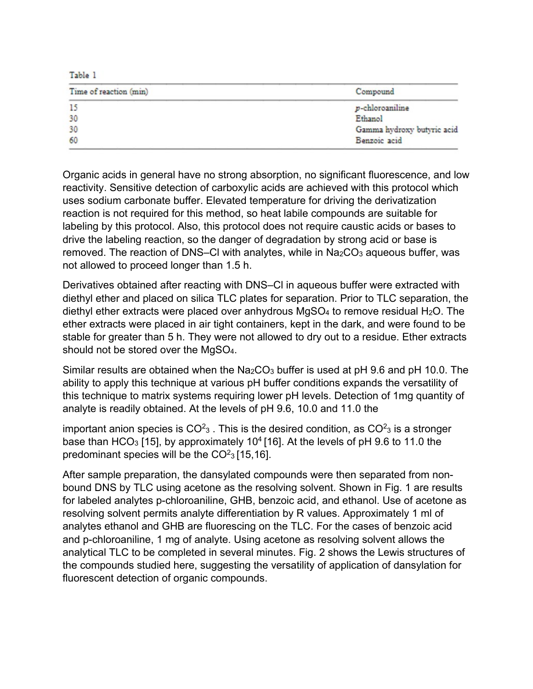Table 1

| Time of reaction (min) | Compound                   |
|------------------------|----------------------------|
| 15                     | p-chloroaniline            |
| 30                     | Ethanol                    |
| 30                     | Gamma hydroxy butyric acid |
| 60                     | Benzoic acid               |

Organic acids in general have no strong absorption, no significant fluorescence, and low reactivity. Sensitive detection of carboxylic acids are achieved with this protocol which uses sodium carbonate buffer. Elevated temperature for driving the derivatization reaction is not required for this method, so heat labile compounds are suitable for labeling by this protocol. Also, this protocol does not require caustic acids or bases to drive the labeling reaction, so the danger of degradation by strong acid or base is removed. The reaction of DNS–CI with analytes, while in  $Na<sub>2</sub>CO<sub>3</sub>$  aqueous buffer, was not allowed to proceed longer than 1.5 h.

Derivatives obtained after reacting with DNS–Cl in aqueous buffer were extracted with diethyl ether and placed on silica TLC plates for separation. Prior to TLC separation, the diethyl ether extracts were placed over anhydrous  $MgSO<sub>4</sub>$  to remove residual H<sub>2</sub>O. The ether extracts were placed in air tight containers, kept in the dark, and were found to be stable for greater than 5 h. They were not allowed to dry out to a residue. Ether extracts should not be stored over the MgSO4.

Similar results are obtained when the Na<sub>2</sub>CO<sub>3</sub> buffer is used at pH 9.6 and pH 10.0. The ability to apply this technique at various pH buffer conditions expands the versatility of this technique to matrix systems requiring lower pH levels. Detection of 1mg quantity of analyte is readily obtained. At the levels of pH 9.6, 10.0 and 11.0 the

important anion species is CO $^2$ 3 . This is the desired condition, as CO $^2$ 3 is a stronger base than HCO<sub>3</sub> [15], by approximately 10<sup>4</sup> [16]. At the levels of pH 9.6 to 11.0 the predominant species will be the  $CO<sup>2</sup>$ <sub>3</sub> [15,16].

After sample preparation, the dansylated compounds were then separated from nonbound DNS by TLC using acetone as the resolving solvent. Shown in Fig. 1 are results for labeled analytes p-chloroaniline, GHB, benzoic acid, and ethanol. Use of acetone as resolving solvent permits analyte differentiation by R values. Approximately 1 ml of analytes ethanol and GHB are fluorescing on the TLC. For the cases of benzoic acid and p-chloroaniline, 1 mg of analyte. Using acetone as resolving solvent allows the analytical TLC to be completed in several minutes. Fig. 2 shows the Lewis structures of the compounds studied here, suggesting the versatility of application of dansylation for fluorescent detection of organic compounds.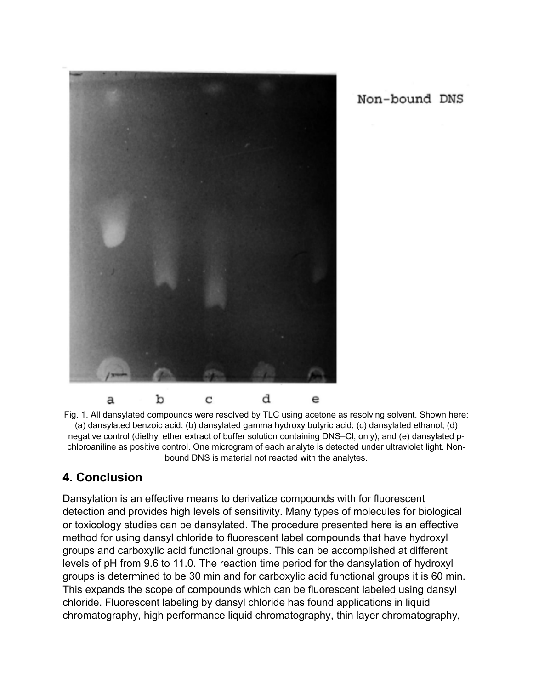

Non-bound DNS

Fig. 1. All dansylated compounds were resolved by TLC using acetone as resolving solvent. Shown here: (a) dansylated benzoic acid; (b) dansylated gamma hydroxy butyric acid; (c) dansylated ethanol; (d) negative control (diethyl ether extract of buffer solution containing DNS–Cl, only); and (e) dansylated pchloroaniline as positive control. One microgram of each analyte is detected under ultraviolet light. Nonbound DNS is material not reacted with the analytes.

## **4. Conclusion**

Dansylation is an effective means to derivatize compounds with for fluorescent detection and provides high levels of sensitivity. Many types of molecules for biological or toxicology studies can be dansylated. The procedure presented here is an effective method for using dansyl chloride to fluorescent label compounds that have hydroxyl groups and carboxylic acid functional groups. This can be accomplished at different levels of pH from 9.6 to 11.0. The reaction time period for the dansylation of hydroxyl groups is determined to be 30 min and for carboxylic acid functional groups it is 60 min. This expands the scope of compounds which can be fluorescent labeled using dansyl chloride. Fluorescent labeling by dansyl chloride has found applications in liquid chromatography, high performance liquid chromatography, thin layer chromatography,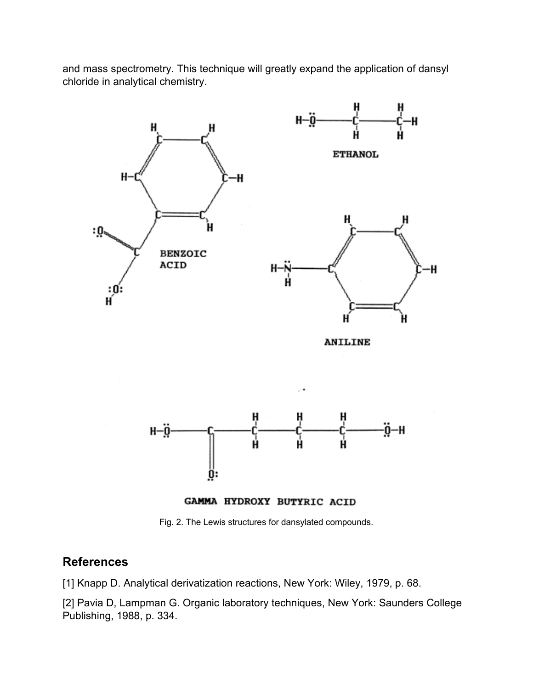and mass spectrometry. This technique will greatly expand the application of dansyl chloride in analytical chemistry.



**ANILINE** 





Fig. 2. The Lewis structures for dansylated compounds.

#### **References**

[1] Knapp D. Analytical derivatization reactions, New York: Wiley, 1979, p. 68.

[2] Pavia D, Lampman G. Organic laboratory techniques, New York: Saunders College Publishing, 1988, p. 334.